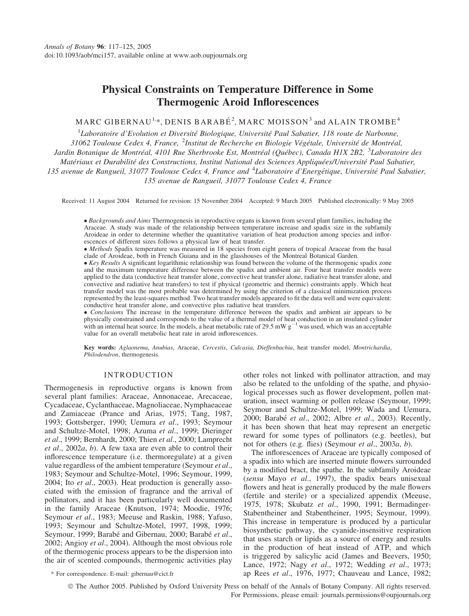# Physical Constraints on Temperature Difference in Some Thermogenic Aroid Inflorescences

 $\texttt{MARC}$   $\texttt{GIBERNAU}^{1,\ast}, \texttt{DENIS}$   $\texttt{BARABÉ}^2, \texttt{MARC}$   $\texttt{MOISSON}^3$  and  $\texttt{ALAIN}$   $\texttt{TROMBE}^4$ 

 $1$ Laboratoire d'Evolution et Diversité Biologique, Université Paul Sabatier, 118 route de Narbonne, 31062 Toulouse Cedex 4, France, <sup>2</sup>Institut de Recherche en Biologie Végétale, Université de Montréal, Jardin Botanique de Montréal, 4101 Rue Sherbrooke Est, Montréal (Québec), Canada H1X 2B2, <sup>3</sup>Laboratoire des Matériaux et Durabilité des Constructions, Institut National des Sciences Appliquées/Université Paul Sabatier, 135 avenue de Rangueil, 31077 Toulouse Cedex 4, France and <sup>4</sup>Laboratoire d'Energétique, Université Paul Sabatier, 135 avenue de Rangueil, 31077 Toulouse Cedex 4, France

Received: 11 August 2004 Returned for revision: 15 November 2004 Accepted: 9 March 2005 Published electronically: 9 May 2005

 Backgrounds and Aims Thermogenesis in reproductive organs is known from several plant families, including the Araceae. A study was made of the relationship between temperature increase and spadix size in the subfamily Aroideae in order to determine whether the quantitative variation of heat production among species and inflorescences of different sizes follows a physical law of heat transfer.

• Methods Spadix temperature was measured in 18 species from eight genera of tropical Araceae from the basal clade of Aroideae, both in French Guiana and in the glasshouses of the Montreal Botanical Garden.

• Key Results A significant logarithmic relationship was found between the volume of the thermogenic spadix zone and the maximum temperature difference between the spadix and ambient air. Four heat transfer models were applied to the data (conductive heat transfer alone, convective heat transfer alone, radiative heat transfer alone, and convective and radiative heat transfers) to test if physical (geometric and thermic) constraints apply. Which heat transfer model was the most probable was determined by using the criterion of a classical minimization process represented by the least-squares method. Two heat transfer models appeared to fit the data well and were equivalent: conductive heat transfer alone, and convective plus radiative heat transfers.

• Conclusions The increase in the temperature difference between the spadix and ambient air appears to be physically constrained and corresponds to the value of a thermal model of heat conduction in an insulated cylinder with an internal heat source. In the models, a heat metabolic rate of 29.5 mW  $g^{-1}$  was used, which was an acceptable value for an overall metabolic heat rate in aroid inflorescences.

Key words: Aglaonema, Anubias, Araceae, Cercestis, Culcasia, Dieffenbachia, heat transfer model, Montrichardia, Philodendron, thermogenesis.

#### INTRODUCTION

Thermogenesis in reproductive organs is known from several plant families: Araceae, Annonaceae, Arecaceae, Cycadaceae, Cyclanthaceae, Magnoliaceae, Nymphaeaceae and Zamiaceae (Prance and Arias, 1975; Tang, 1987, 1993; Gottsberger, 1990; Uemura et al., 1993; Seymour and Schultze-Motel, 1998; Azuma et al., 1999; Dieringer et al., 1999; Bernhardt, 2000; Thien et al., 2000; Lamprecht et al., 2002a, b). A few taxa are even able to control their inflorescence temperature (i.e. thermoregulate) at a given value regardless of the ambient temperature (Seymour et al., 1983; Seymour and Schultze-Motel, 1996; Seymour, 1999, 2004; Ito et al., 2003). Heat production is generally associated with the emission of fragrance and the arrival of pollinators, and it has been particularly well documented in the family Araceae (Knutson, 1974; Moodie, 1976; Seymour et al., 1983; Meeuse and Raskin, 1988; Yafuso, 1993; Seymour and Schultze-Motel, 1997, 1998, 1999; Seymour, 1999; Barabé and Gibernau, 2000; Barabé et al., 2002; Angioy et al., 2004). Although the most obvious role of the thermogenic process appears to be the dispersion into the air of scented compounds, thermogenic activities play other roles not linked with pollinator attraction, and may also be related to the unfolding of the spathe, and physiological processes such as flower development, pollen maturation, insect warming or pollen release (Seymour, 1999; Seymour and Schultze-Motel, 1999; Wada and Uemura, 2000; Barabé et al., 2002; Albre et al., 2003). Recently, it has been shown that heat may represent an energetic reward for some types of pollinators (e.g. beetles), but not for others (e.g. flies) (Seymour et al., 2003a, b).

The inflorescences of Araceae are typically composed of a spadix into which are inserted minute flowers surrounded by a modified bract, the spathe. In the subfamily Aroideae (sensu Mayo et al., 1997), the spadix bears unisexual flowers and heat is generally produced by the male flowers (fertile and sterile) or a specialized appendix (Meeuse, 1975, 1978; Skubatz et al., 1990, 1991; Bermadinger-Stabentheiner and Stabentheiner, 1995; Seymour, 1999). This increase in temperature is produced by a particular biosynthetic pathway, the cyanide-insensitive respiration that uses starch or lipids as a source of energy and results in the production of heat instead of ATP, and which is triggered by salicylic acid (James and Beevers, 1950; Lance, 1972; Nagy et al., 1972; Wedding et al., 1973; \* For correspondence. E-mail: gibernau@cict.fr ap Rees et al., 1976, 1977; Chauveau and Lance, 1982;

ª The Author 2005. Published by Oxford University Press on behalf of the Annals of Botany Company. All rights reserved. For Permissions, please email: journals.permissions@oupjournals.org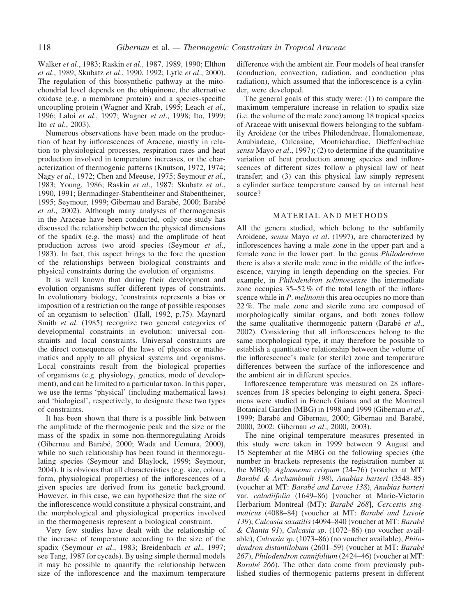Walker et al., 1983; Raskin et al., 1987, 1989, 1990; Elthon et al., 1989; Skubatz et al., 1990, 1992; Lytle et al., 2000). The regulation of this biosynthetic pathway at the mitochondrial level depends on the ubiquinone, the alternative oxidase (e.g. a membrane protein) and a species-specific uncoupling protein (Wagner and Krab, 1995; Leach et al., 1996; Laloi et al., 1997; Wagner et al., 1998; Ito, 1999; Ito et al., 2003).

Numerous observations have been made on the production of heat by inflorescences of Araceae, mostly in relation to physiological processes, respiration rates and heat production involved in temperature increases, or the characterization of thermogenic patterns (Knutson, 1972, 1974; Nagy et al., 1972; Chen and Meeuse, 1975; Seymour et al., 1983; Young, 1986; Raskin et al., 1987; Skubatz et al., 1990, 1991; Bermadinger-Stabentheiner and Stabentheiner, 1995; Seymour, 1999; Gibernau and Barabé, 2000; Barabé et al., 2002). Although many analyses of thermogenesis in the Araceae have been conducted, only one study has discussed the relationship between the physical dimensions of the spadix (e.g. the mass) and the amplitude of heat production across two aroid species (Seymour et al., 1983). In fact, this aspect brings to the fore the question of the relationships between biological constraints and physical constraints during the evolution of organisms.

It is well known that during their development and evolution organisms suffer different types of constraints. In evolutionary biology, 'constraints represents a bias or imposition of a restriction on the range of possible responses of an organism to selection' (Hall, 1992, p.75). Maynard Smith *et al.* (1985) recognize two general categories of developmental constraints in evolution: universal constraints and local constraints. Universal constraints are the direct consequences of the laws of physics or mathematics and apply to all physical systems and organisms. Local constraints result from the biological properties of organisms (e.g. physiology, genetics, mode of development), and can be limited to a particular taxon. In this paper, we use the terms 'physical' (including mathematical laws) and 'biological', respectively, to designate these two types of constraints.

It has been shown that there is a possible link between the amplitude of the thermogenic peak and the size or the mass of the spadix in some non-thermoregulating Aroids (Gibernau and Barabé, 2000; Wada and Uemura, 2000), while no such relationship has been found in thermoregulating species (Seymour and Blaylock, 1999; Seymour, 2004). It is obvious that all characteristics (e.g. size, colour, form, physiological properties) of the inflorescences of a given species are derived from its genetic background. However, in this case, we can hypothesize that the size of the inflorescence would constitute a physical constraint, and the morphological and physiological properties involved in the thermogenesis represent a biological constraint.

Very few studies have dealt with the relationship of the increase of temperature according to the size of the spadix (Seymour et al., 1983; Breidenbach et al., 1997; see Tang, 1987 for cycads). By using simple thermal models it may be possible to quantify the relationship between size of the inflorescence and the maximum temperature difference with the ambient air. Four models of heat transfer (conduction, convection, radiation, and conduction plus radiation), which assumed that the inflorescence is a cylinder, were developed.

The general goals of this study were: (1) to compare the maximum temperature increase in relation to spadix size (i.e. the volume of the male zone) among 18 tropical species of Araceae with unisexual flowers belonging to the subfamily Aroideae (or the tribes Philodendreae, Homalomeneae, Anubiadeae, Culcasiae, Montrichardiae, Dieffenbachiae sensu Mayo et al., 1997); (2) to determine if the quantitative variation of heat production among species and inflorescences of different sizes follow a physical law of heat transfer; and (3) can this physical law simply represent a cylinder surface temperature caused by an internal heat source?

## MATERIAL AND METHODS

All the genera studied, which belong to the subfamily Aroideae, sensu Mayo et al. (1997), are characterized by inflorescences having a male zone in the upper part and a female zone in the lower part. In the genus Philodendron there is also a sterile male zone in the middle of the inflorescence, varying in length depending on the species. For example, in Philodendron solimoesense the intermediate zone occupies 35–52 % of the total length of the inflorescence while in *P. melinonii* this area occupies no more than 22 %. The male zone and sterile zone are composed of morphologically similar organs, and both zones follow the same qualitative thermogenic pattern (Barabé et al., 2002). Considering that all inflorescences belong to the same morphological type, it may therefore be possible to establish a quantitative relationship between the volume of the inflorescence's male (or sterile) zone and temperature differences between the surface of the inflorescence and the ambient air in different species.

Inflorescence temperature was measured on 28 inflorescences from 18 species belonging to eight genera. Specimens were studied in French Guiana and at the Montreal Botanical Garden (MBG) in 1998 and 1999 (Gibernau et al., 1999; Barabé and Gibernau, 2000; Gibernau and Barabé, 2000, 2002; Gibernau et al., 2000, 2003).

The nine original temperature measures presented in this study were taken in 1999 between 9 August and 15 September at the MBG on the following species (the number in brackets represents the registration number at the MBG): Aglaonema crispum (24–76) (voucher at MT: Barabe´ & Archambault 198), Anubias barteri (3548–85) (voucher at MT: Barabé and Lavoie 138), Anubias barteri var. caladiifolia (1649–86) [voucher at Marie-Victorin Herbarium Montreal (MT): Barabé 268], Cercestis stigmaticus (4088–84) (voucher at MT: Barabé and Lavoie 139), Culcasia saxatilis (4094–840 (voucher at MT: Barabe´ & Chanta 91), Culcasia sp. (1072–86) (no voucher available), Culcasia sp. (1073–86) (no voucher available), Philodendron distantilobum (2601–59) (voucher at MT: Barabé 267), Philodendron cannifolium (2424–46) (voucher at MT: Barabé  $266$ ). The other data come from previously published studies of thermogenic patterns present in different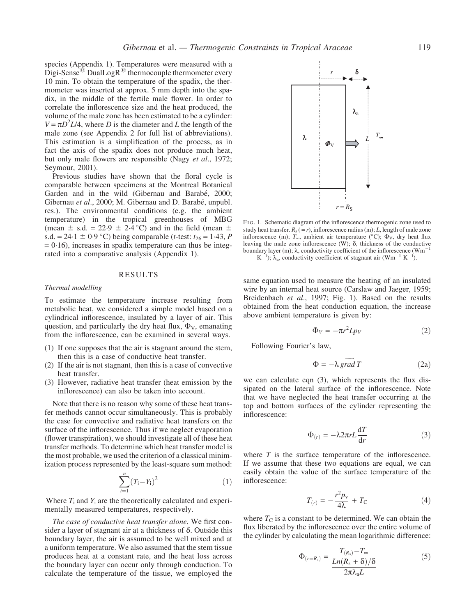species (Appendix 1). Temperatures were measured with a Digi-Sense<sup>®</sup> DualLogR<sup>®</sup> thermocouple thermometer every 10 min. To obtain the temperature of the spadix, the thermometer was inserted at approx. 5 mm depth into the spadix, in the middle of the fertile male flower. In order to correlate the inflorescence size and the heat produced, the volume of the male zone has been estimated to be a cylinder:  $V = \pi D^2 L/4$ , where D is the diameter and L the length of the male zone (see Appendix 2 for full list of abbreviations). This estimation is a simplification of the process, as in fact the axis of the spadix does not produce much heat, but only male flowers are responsible (Nagy et al., 1972; Seymour, 2001).

Previous studies have shown that the floral cycle is comparable between specimens at the Montreal Botanical Garden and in the wild (Gibernau and Barabé, 2000; Gibernau et al., 2000; M. Gibernau and D. Barabé, unpubl. res.). The environmental conditions (e.g. the ambient temperature) in the tropical greenhouses of MBG (mean  $\pm$  s.d. = 22.9  $\pm$  2.4 °C) and in the field (mean  $\pm$ s.d. = 24.1  $\pm$  0.9 °C) being comparable (*t*-test:  $t_{26}$  = 1.43, *P*  $= 0.16$ ), increases in spadix temperature can thus be integrated into a comparative analysis (Appendix 1).

#### RESULTS

#### Thermal modelling

To estimate the temperature increase resulting from metabolic heat, we considered a simple model based on a cylindrical inflorescence, insulated by a layer of air. This question, and particularly the dry heat flux,  $\Phi_{V}$ , emanating from the inflorescence, can be examined in several ways.

- (1) If one supposes that the air is stagnant around the stem, then this is a case of conductive heat transfer.
- (2) If the air is not stagnant, then this is a case of convective heat transfer.
- (3) However, radiative heat transfer (heat emission by the inflorescence) can also be taken into account.

Note that there is no reason why some of these heat transfer methods cannot occur simultaneously. This is probably the case for convective and radiative heat transfers on the surface of the inflorescence. Thus if we neglect evaporation (flower transpiration), we should investigate all of these heat transfer methods. To determine which heat transfer model is the most probable, we used the criterion of a classical minimization process represented by the least-square sum method:

$$
\sum_{i=1}^{n} (T_i - Y_i)^2
$$
 (1)

Where  $T_i$  and  $Y_i$  are the theoretically calculated and experimentally measured temperatures, respectively.

The case of conductive heat transfer alone. We first consider a layer of stagnant air at a thickness of  $\delta$ . Outside this boundary layer, the air is assumed to be well mixed and at a uniform temperature. We also assumed that the stem tissue produces heat at a constant rate, and the heat loss across the boundary layer can occur only through conduction. To calculate the temperature of the tissue, we employed the



F<sub>IG</sub>. 1. Schematic diagram of the inflorescence thermogenic zone used to study heat transfer.  $R_s = r$ ), inflorescence radius (m); L, length of male zone inflorescence (m);  $T_{\infty}$ , ambient air temperature (°C);  $\Phi_{V}$ , dry heat flux leaving the male zone inflorescence (W);  $\delta$ , thickness of the conductive<br>houndary layer (m);  $\lambda$  conductivity coefficient of the inflorescence (Wm<sup>-1</sup> boundary layer (m);  $\lambda$ , conductivity coefficient of the inflorescence (Wm<sup>-</sup>

K<sup>-1</sup>);  $\lambda_a$ , conductivity coefficient of stagnant air (Wm<sup>-1</sup> K<sup>-1</sup>).

same equation used to measure the heating of an insulated wire by an internal heat source (Carslaw and Jaeger, 1959; Breidenbach et al., 1997; Fig. 1). Based on the results obtained from the heat conduction equation, the increase above ambient temperature is given by:

$$
\Phi_V = -\pi r^2 L p_V \tag{2}
$$

Following Fourier's law,

$$
\Phi = -\lambda \overrightarrow{\text{grad } T} \tag{2a}
$$

we can calculate eqn (3), which represents the flux dissipated on the lateral surface of the inflorescence. Note that we have neglected the heat transfer occurring at the top and bottom surfaces of the cylinder representing the inflorescence:

$$
\Phi_{(r)} = -\lambda 2\pi r L \frac{\mathrm{d}T}{\mathrm{d}r} \tag{3}
$$

where  $T$  is the surface temperature of the inflorescence. If we assume that these two equations are equal, we can easily obtain the value of the surface temperature of the inflorescence:

$$
T_{(r)} = -\frac{r^2 p_v}{4\lambda} + T_C \tag{4}
$$

where  $T_{\rm C}$  is a constant to be determined. We can obtain the flux liberated by the inflorescence over the entire volume of the cylinder by calculating the mean logarithmic difference:

$$
\Phi_{(r=R_s)} = \frac{T_{(R_s)} - T_{\infty}}{\frac{Ln(R_s + \delta)/\delta}{2\pi\lambda_a L}}
$$
(5)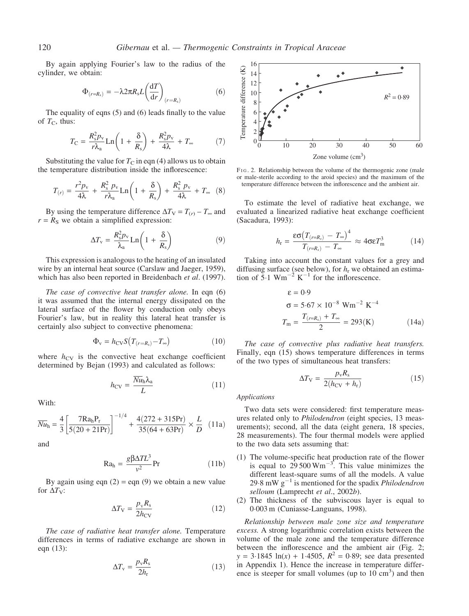By again applying Fourier's law to the radius of the cylinder, we obtain:

$$
\Phi_{(r=R_s)} = -\lambda 2\pi R_s L \left(\frac{\mathrm{d}T}{\mathrm{d}r}\right)_{(r=R_s)}\tag{6}
$$

The equality of eqns (5) and (6) leads finally to the value of  $T_{\rm C}$ , thus:

$$
T_{\rm C} = \frac{R_{\rm s}^2 p_{\rm v}}{r \lambda_{\rm a}} \ln \left( 1 + \frac{\delta}{R_{\rm s}} \right) + \frac{R_{\rm s}^2 p_{\rm v}}{4 \lambda} + T_{\infty} \tag{7}
$$

Substituting the value for  $T_{\rm C}$  in eqn (4) allows us to obtain the temperature distribution inside the inflorescence:

$$
T_{(r)} = \frac{r^2 p_v}{4\lambda} + \frac{R_s^2 p_v}{r\lambda_a} \text{Ln}\left(1 + \frac{\delta}{R_s}\right) + \frac{R_s^2 p_v}{4\lambda} + T_{\infty} \quad (8)
$$

By using the temperature difference  $\Delta T_{\rm V} = T_{(r)} - T_{\infty}$  and  $r = R<sub>S</sub>$  we obtain a simplified expression:

$$
\Delta T_{\rm v} = \frac{R_{\rm s}^2 p_{\rm v}}{\lambda_{\rm a}} \text{Ln}\left(1 + \frac{\delta}{R_{\rm s}}\right) \tag{9}
$$

This expression is analogous to the heating of an insulated wire by an internal heat source (Carslaw and Jaeger, 1959), which has also been reported in Breidenbach et al. (1997).

The case of convective heat transfer alone. In eqn (6) it was assumed that the internal energy dissipated on the lateral surface of the flower by conduction only obeys Fourier's law, but in reality this lateral heat transfer is certainly also subject to convective phenomena:

$$
\Phi_{\rm v} = h_{\rm CV} S \big( T_{(r=R_{\rm s})} - T_{\infty} \big) \tag{10}
$$

where  $h_{CV}$  is the convective heat exchange coefficient determined by Bejan (1993) and calculated as follows:

$$
h_{\rm CV} = \frac{\overline{Nu}_{\rm h}\lambda_{\rm a}}{L} \tag{11}
$$

With:

$$
\overline{Nu}_{\rm h} = \frac{4}{3} \left[ \frac{7 \text{Ra}_{\rm h} \text{P}_{\rm r}}{5(20 + 21 \text{Pr})} \right]^{-1/4} + \frac{4(272 + 315 \text{Pr})}{35(64 + 63 \text{Pr})} \times \frac{L}{D} \tag{11a}
$$

and

$$
Ra_{h} = \frac{g\beta\Delta TL^{3}}{v^{2}} Pr
$$
 (11b)

By again using eqn  $(2) =$  eqn  $(9)$  we obtain a new value for  $\Delta T_V$ :

$$
\Delta T_{\rm V} = \frac{p_{\rm v} R_{\rm s}}{2h_{\rm CV}}\tag{12}
$$

The case of radiative heat transfer alone. Temperature differences in terms of radiative exchange are shown in eqn (13):

$$
\Delta T_{\rm v} = \frac{p_{\rm v} R_{\rm s}}{2h_{\rm r}}\tag{13}
$$



F<sub>IG</sub>. 2. Relationship between the volume of the thermogenic zone (male or male-sterile according to the aroid species) and the maximum of the temperature difference between the inflorescence and the ambient air.

To estimate the level of radiative heat exchange, we evaluated a linearized radiative heat exchange coefficient (Sacadura, 1993):

$$
h_{\rm r} = \frac{\varepsilon \sigma (T_{(r=R_s)} - T_{\infty})^4}{T_{(r=R_s)} - T_{\infty}} \approx 4\sigma \varepsilon T_{\rm m}^3 \tag{14}
$$

Taking into account the constant values for a grey and diffusing surface (see below), for  $h_r$  we obtained an estimation of  $\overline{5}$ -1 Wm<sup>-2</sup> K<sup>-1</sup> for the inflorescence.

$$
\varepsilon = 0.9
$$
  
\n
$$
\sigma = 5.67 \times 10^{-8} \text{ Wm}^{-2} \text{ K}^{-4}
$$
  
\n
$$
T_{\text{m}} = \frac{T_{(r=R_s)} + T_{\infty}}{2} = 293 \text{ (K)}
$$
 (14a)

The case of convective plus radiative heat transfers. Finally, eqn (15) shows temperature differences in terms of the two types of simultaneous heat transfers:

$$
\Delta T_{\rm V} = \frac{p_{\rm v} R_{\rm s}}{2(h_{\rm CV} + h_{\rm r})} \tag{15}
$$

Applications

Two data sets were considered: first temperature measures related only to Philodendron (eight species, 13 measurements); second, all the data (eight genera, 18 species, 28 measurements). The four thermal models were applied to the two data sets assuming that:

- (1) The volume-specific heat production rate of the flower is equal to  $29\,500\,\mathrm{Wm}^{-3}$ . This value minimizes the different least-square sums of all the models. A value 29.8 mW  $g^{-1}$  is mentioned for the spadix *Philodendron* selloum (Lamprecht et al., 2002b).
- (2) The thickness of the subviscous layer is equal to 0.003 m (Cuniasse-Languans, 1998).

Relationship between male zone size and temperature excess. A strong logarithmic correlation exists between the volume of the male zone and the temperature difference between the inflorescence and the ambient air (Fig. 2;  $y = 3.1845 \ln(x) + 1.4505$ ,  $R^2 = 0.89$ ; see data presented in Appendix 1). Hence the increase in temperature difference is steeper for small volumes (up to  $10 \text{ cm}^3$ ) and then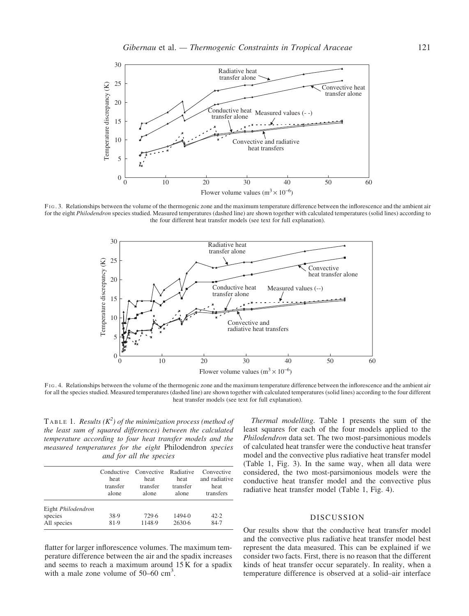

FI G . 3. Relationships between the volume of the thermogenic zone and the maximum temperature difference between the inflorescence and the ambient air for the eight Philodendron species studied. Measured temperatures (dashed line) are shown together with calculated temperatures (solid lines) according to the four different heat transfer models (see text for full explanation).



FI G . 4. Relationships between the volume of the thermogenic zone and the maximum temperature difference between the inflorescence and the ambient air for all the species studied. Measured temperatures (dashed line) are shown together with calculated temperatures (solid lines) according to the four different heat transfer models (see text for full explanation).

TABLE 1. Results  $(K^2)$  of the minimization process (method of the least sum of squared differences) between the calculated temperature according to four heat transfer models and the measured temperatures for the eight Philodendron species and for all the species

|                                              | Conductive   | Convective      | Radiative        | Convective       |  |
|----------------------------------------------|--------------|-----------------|------------------|------------------|--|
|                                              | heat         | heat            | heat             | and radiative    |  |
|                                              | transfer     | transfer        | transfer         | heat             |  |
|                                              | alone        | alone           | alone            | transfers        |  |
| Eight Philodendron<br>species<br>All species | 38.9<br>81.9 | 729.6<br>1148.9 | 1494.0<br>2630.6 | 42.2<br>$84 - 7$ |  |

flatter for larger inflorescence volumes. The maximum temperature difference between the air and the spadix increases and seems to reach a maximum around 15 K for a spadix with a male zone volume of  $50-60$  cm<sup>3</sup>.

Thermal modelling. Table 1 presents the sum of the least squares for each of the four models applied to the Philodendron data set. The two most-parsimonious models of calculated heat transfer were the conductive heat transfer model and the convective plus radiative heat transfer model (Table 1, Fig. 3). In the same way, when all data were considered, the two most-parsimonious models were the conductive heat transfer model and the convective plus radiative heat transfer model (Table 1, Fig. 4).

#### DISCUSSION

Our results show that the conductive heat transfer model and the convective plus radiative heat transfer model best represent the data measured. This can be explained if we consider two facts. First, there is no reason that the different kinds of heat transfer occur separately. In reality, when a temperature difference is observed at a solid–air interface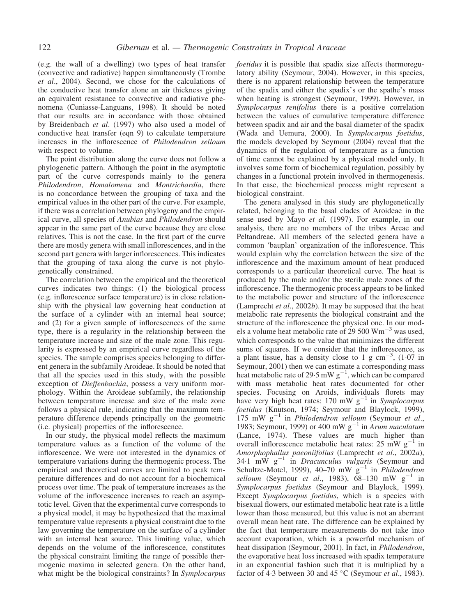(e.g. the wall of a dwelling) two types of heat transfer (convective and radiative) happen simultaneously (Trombe et al., 2004). Second, we chose for the calculations of the conductive heat transfer alone an air thickness giving an equivalent resistance to convective and radiative phenomena (Cuniasse-Languans, 1998). It should be noted that our results are in accordance with those obtained by Breidenbach et al. (1997) who also used a model of conductive heat transfer (eqn 9) to calculate temperature increases in the inflorescence of Philodendron selloum with respect to volume.

The point distribution along the curve does not follow a phylogenetic pattern. Although the point in the asymptotic part of the curve corresponds mainly to the genera Philodendron, Homalomena and Montrichardia, there is no concordance between the grouping of taxa and the empirical values in the other part of the curve. For example, if there was a correlation between phylogeny and the empirical curve, all species of Anubias and Philodendron should appear in the same part of the curve because they are close relatives. This is not the case. In the first part of the curve there are mostly genera with small inflorescences, and in the second part genera with larger inflorescences. This indicates that the grouping of taxa along the curve is not phylogenetically constrained.

The correlation between the empirical and the theoretical curves indicates two things: (1) the biological process (e.g. inflorescence surface temperature) is in close relationship with the physical law governing heat conduction at the surface of a cylinder with an internal heat source; and (2) for a given sample of inflorescences of the same type, there is a regularity in the relationship between the temperature increase and size of the male zone. This regularity is expressed by an empirical curve regardless of the species. The sample comprises species belonging to different genera in the subfamily Aroideae. It should be noted that that all the species used in this study, with the possible exception of Dieffenbachia, possess a very uniform morphology. Within the Aroideae subfamily, the relationship between temperature increase and size of the male zone follows a physical rule, indicating that the maximum temperature difference depends principally on the geometric (i.e. physical) properties of the inflorescence.

In our study, the physical model reflects the maximum temperature values as a function of the volume of the inflorescence. We were not interested in the dynamics of temperature variations during the thermogenic process. The empirical and theoretical curves are limited to peak temperature differences and do not account for a biochemical process over time. The peak of temperature increases as the volume of the inflorescence increases to reach an asymptotic level. Given that the experimental curve corresponds to a physical model, it may be hypothesized that the maximal temperature value represents a physical constraint due to the law governing the temperature on the surface of a cylinder with an internal heat source. This limiting value, which depends on the volume of the inflorescence, constitutes the physical constraint limiting the range of possible thermogenic maxima in selected genera. On the other hand, what might be the biological constraints? In Symplocarpus foetidus it is possible that spadix size affects thermoregulatory ability (Seymour, 2004). However, in this species, there is no apparent relationship between the temperature of the spadix and either the spadix's or the spathe's mass when heating is strongest (Seymour, 1999). However, in Symplocarpus renifolius there is a positive correlation between the values of cumulative temperature difference between spadix and air and the basal diameter of the spadix (Wada and Uemura, 2000). In Symplocarpus foetidus, the models developed by Seymour (2004) reveal that the dynamics of the regulation of temperature as a function of time cannot be explained by a physical model only. It involves some form of biochemical regulation, possibly by changes in a functional protein involved in thermogenesis. In that case, the biochemical process might represent a biological constraint.

The genera analysed in this study are phylogenetically related, belonging to the basal clades of Aroideae in the sense used by Mayo et al. (1997). For example, in our analysis, there are no members of the tribes Areae and Peltandreae. All members of the selected genera have a common 'bauplan' organization of the inflorescence. This would explain why the correlation between the size of the inflorescence and the maximum amount of heat produced corresponds to a particular theoretical curve. The heat is produced by the male and/or the sterile male zones of the inflorescence. The thermogenic process appears to be linked to the metabolic power and structure of the inflorescence (Lamprecht et al., 2002b). It may be supposed that the heat metabolic rate represents the biological constraint and the structure of the inflorescence the physical one. In our models a volume heat metabolic rate of  $29\,500\,\mathrm{Wm}^{-3}$  was used, which corresponds to the value that minimizes the different sums of squares. If we consider that the inflorescence, as a plant tissue, has a density close to 1 g cm<sup>-3</sup>,  $(1.07 \text{ in}$ Seymour, 2001) then we can estimate a corresponding mass heat metabolic rate of 29.5 mW  $g^{-1}$ , which can be compared with mass metabolic heat rates documented for other species. Focusing on Aroids, individuals florets may have very high heat rates:  $170 \text{ mW g}^{-1}$  in *Symplocarpus* foetidus (Knutson, 1974; Seymour and Blaylock, 1999),  $175$  mW  $g^{-1}$  in *Philodendron selloum* (Seymour et al., 1983; Seymour, 1999) or 400 mW  $g^{-1}$  in Arum maculatum (Lance, 1974). These values are much higher than overall inflorescence metabolic heat rates:  $25 \text{ mW g}^{-1}$  in Amorphophallus paeoniifolius (Lamprecht et al., 2002a), 34.1 m $\dot{W}$   $g^{-1}$  in *Dracunculus vulgaris* (Seymour and Schultze-Motel, 1999), 40–70 mW  $g^{-1}$  in *Philodendron* selloum (Seymour et al., 1983),  $68-130$  mW  $g^{-1}$  in Symplocarpus foetidus (Seymour and Blaylock, 1999). Except Symplocarpus foetidus, which is a species with bisexual flowers, our estimated metabolic heat rate is a little lower than those measured, but this value is not an aberrant overall mean heat rate. The difference can be explained by the fact that temperature measurements do not take into account evaporation, which is a powerful mechanism of heat dissipation (Seymour, 2001). In fact, in Philodendron, the evaporative heat loss increased with spadix temperature in an exponential fashion such that it is multiplied by a factor of 4.3 between 30 and 45 °C (Seymour *et al.*, 1983).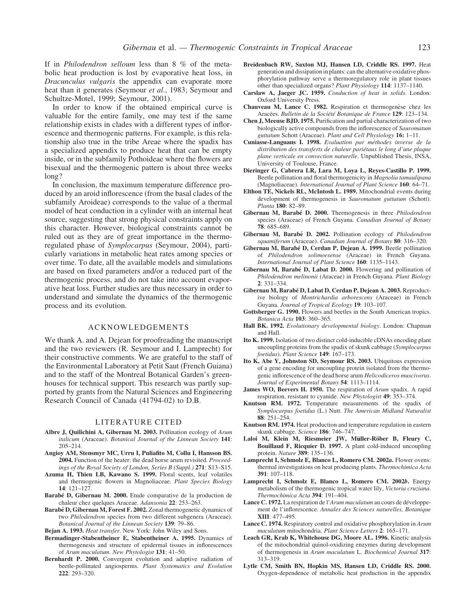If in Philodendron selloum less than 8 % of the metabolic heat production is lost by evaporative heat loss, in Dracunculus vulgaris the appendix can evaporate more heat than it generates (Seymour et al., 1983; Seymour and Schultze-Motel, 1999; Seymour, 2001).

In order to know if the obtained empirical curve is valuable for the entire family, one may test if the same relationship exists in clades with a different types of inflorescence and thermogenic patterns. For example, is this relationship also true in the tribe Areae where the spadix has a specialized appendix to produce heat that can be empty inside, or in the subfamily Pothoideae where the flowers are bisexual and the thermogenic pattern is about three weeks long?

In conclusion, the maximum temperature difference produced by an aroid inflorescence (from the basal clades of the subfamily Aroideae) corresponds to the value of a thermal model of heat conduction in a cylinder with an internal heat source, suggesting that strong physical constraints apply on this character. However, biological constraints cannot be ruled out as they are of great importance in the thermoregulated phase of Symplocarpus (Seymour, 2004), particularly variations in metabolic heat rates among species or over time. To date, all the available models and simulations are based on fixed parameters and/or a reduced part of the thermogenic process, and do not take into account evaporative heat loss. Further studies are thus necessary in order to understand and simulate the dynamics of the thermogenic process and its evolution.

#### ACKNOWLEDGEMENTS

We thank A. and A. Dejean for proofreading the manuscript and the two reviewers (R. Seymour and I. Lamprecht) for their constructive comments. We are grateful to the staff of the Environmental Laboratory at Petit Saut (French Guiana) and to the staff of the Montreal Botanical Garden's greenhouses for technical support. This research was partly supported by grants from the Natural Sciences and Engineering Research Council of Canada (41794-02) to D.B.

#### LITERATURE CITED

- Albre J, Quilichini A, Gibernau M. 2003. Pollination ecology of Arum italicum (Araceae). Botanical Journal of the Linnean Society 141: 205–214.
- Angioy AM, Stensmyr MC, Urru I, Puliafito M, Collu I, Hansson BS. 2004. Function of the heater: the dead horse arum revisited. *Proceed*ings of the Royal Society of London, Series B (Suppl.) 271: S13–S15.
- Azuma H, Thien LB, Kawano S. 1999. Floral scents, leaf volatiles and thermogenic flowers in Magnoliaceae. Plant Species Biology 14: 121–127.
- Barabé D, Gibernau M. 2000. Etude comparative de la production de chaleur chez quelques Araceae. Adansonia 22: 253–263.
- Barabé D, Gibernau M, Forest F. 2002. Zonal thermogenetic dynamics of two Philodendron species from two different subgenera (Araceae). Botanical Journal of the Linnean Society 139: 79–86.

Bejan A. 1993. Heat transfer. New York: John Wiley and Sons.

- Bermadinger-Stabentheiner E, Stabentheiner A. 1995. Dynamics of thermogenesis and structure of epidermal tissues in inflorescences of Arum maculatum. New Phytologist 131: 41–50.
- Bernhardt P. 2000. Convergent evolution and adaptive radiation of beetle-pollinated angiosperms. Plant Systematics and Evolution 222: 293–320.
- Breidenbach RW, Saxton MJ, Hansen LD, Criddle RS. 1997. Heat generation and dissipation in plants: can the alternative oxidative phosphorylation pathway serve a thermoregulatory role in plant tissues other than specialized organs? Plant Physiology 114: 1137-1140.
- Carslaw A, Jaeger JC. 1959. Conduction of heat in solids. London: Oxford University Press.
- Chauveau M, Lance C. 1982. Respiration et thermogenèse chez les Aracées. Bulletin de la Société Botanique de France 129: 123-134.
- Chen J, Meeuse BJD. 1975. Purification and partial characterization of two biologically active compounds from the inflorescence of Sauromatum guttatum Schott (Araceae). Plant and Cell Physiology 16: 1–11.
- Cuniasse-Languans I. 1998. Evaluation par méthodes inverse de la distribution des transferts de chaleur pariétaux le long d'une plaque plane verticale en convection naturelle. Unpublished Thesis, INSA, University of Toulouse, France.
- Dieringer G, Cabrera LR, Lara M, Loya L, Reyes-Castillo P. 1999. Beetle pollination and floral thermogenicity in Magnolia tamaulipana (Magnoliaceae). International Journal of Plant Science 160: 64–71.
- Elthon TE, Nickels RL, McIntosh L. 1989. Mitochondrial events during development of thermogenesis in Sauromatum guttatum (Schott). Planta 180: 82–89.
- Gibernau M, Barabé D. 2000. Thermogenesis in three Philodendron species (Araceae) of French Guyana. Canadian Journal of Botany 78: 685–689.
- Gibernau M, Barabé D. 2002. Pollination ecology of Philodendron squamiferum (Araceae). *Canadian Journal of Botany* 80: 316–320.
- Gibernau M, Barabé D, Cerdan P, Dejean A. 1999. Beetle pollination of Philodendron solimoesense (Araceae) in French Guyana. International Journal of Plant Science 160: 1135–1143.
- Gibernau M, Barabé D, Labat D. 2000. Flowering and pollination of Philodendron melinonii (Araceae) in French Guyana. Plant Biology 2: 331–334.
- Gibernau M, Barabé D, Labat D, Cerdan P, Dejean A. 2003. Reproductive biology of Montrichardia arborescens (Araceae) in French Guyana. Journal of Tropical Ecology 19: 103–107.
- Gottsberger G. 1990. Flowers and beetles in the South American tropics. Botanica Acta 103: 360–365.
- Hall BK. 1992. Evolutionary developmental biology. London: Chapman and Hall.
- Ito K. 1999. Isolation of two distinct cold-inducible cDNAs encoding plant uncoupling proteins from the spadix of skunk cabbage (Symplocarpus foetidus). Plant Science 149: 167–173.
- Ito K, Abe Y, Johnston SD, Seymour RS. 2003. Ubiquitous expression of a gene encoding for uncoupling protein isolated from the thermogenic inflorescence of the dead horse arum Helicodiceros muscivorus. Journal of Experimental Botany 54: 1113–1114.
- James WO, Beevers H. 1950. The respiration of Arum spadix. A rapid respiration, resistant to cyanide. New Phytologist 49: 353–374.
- Knutson RM. 1972. Temperature measurements of the spadix of Symplocarpus foetidus (L.) Nutt. The American Midland Naturalist  $88.251 - 254$
- Knutson RM. 1974. Heat production and temperature regulation in eastern skunk cabbage. Science 186: 746–747.
- Laloi M, Klein M, Riesmeier JW, Müller-Röber B, Fleury C, Bouillaud F, Ricquier D. 1997. A plant cold-induced uncoupling protein. Nature 389: 135–136.
- Lamprecht I, Schmolz E, Blanco L, Romero CM. 2002a. Flower ovens: thermal investigations on heat producing plants. Thermochimica Acta 391: 107–118.
- Lamprecht I, Schmolz E, Blanco L, Romero CM. 2002b. Energy metabolism of the thermogenic tropical water lily, Victoria cruziana. Thermochimica Acta 394: 191–404.
- Lance C. 1972. La respiration de l'Arum maculatum au cours de développement de l'inflorescence. Annales des Sciences naturelles, Botanique XIII: 477–495.
- Lance C. 1974. Respiratory control and oxidative phosphorylation in Arum maculatum mitochondria. Plant Science Letters 2: 165–171.
- Leach GR, Krab K, Whitehouse DG, Moore AL. 1996. Kinetic analysis of the mitochondrial quinol-oxidizing enzymes during development of thermogenesis in Arum maculatum L. Biochemical Journal 317: 313–319.
- Lytle CM, Smith BN, Hopkin MS, Hansen LD, Criddle RS. 2000. Oxygen-dependence of metabolic heat production in the appendix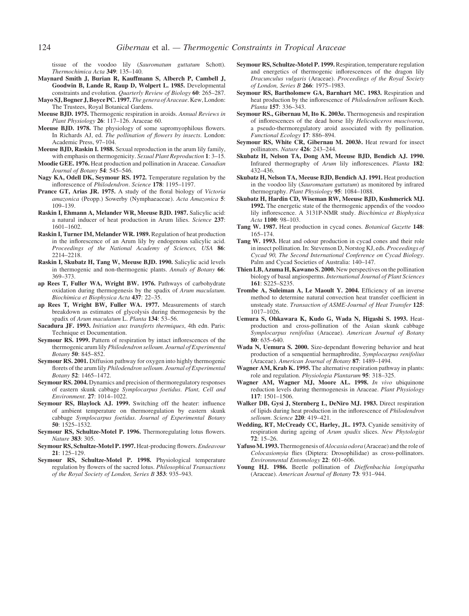tissue of the voodoo lily (Sauromatum guttatum Schott). Thermochimica Acta 349: 135–140.

- Maynard Smith J, Burian R, Kauffmann S, Alberch P, Cambell J, Goodwin B, Lande R, Raup D, Wolpert L. 1985. Developmental constraints and evolution. Quarterly Review of Biology 60: 265–287.
- Mayo SJ, Bogner J, Boyce PC. 1997. The genera of Araceae. Kew, London: The Trustees, Royal Botanical Gardens.
- Meeuse BJD. 1975. Thermogenic respiration in aroids. Annual Reviews in Plant Physiology 26: 117-126. Araceae 60.
- Meeuse BJD. 1978. The physiology of some sapromyophilous flowers. In Richards AJ, ed. The pollination of flowers by insects. London: Academic Press, 97–104.
- Meeuse BJD, Raskin I. 1988. Sexual reproduction in the arum lily family, with emphasis on thermogenicity. Sexual Plant Reproduction 1: 3–15.
- Moodie GEE. 1976. Heat production and pollination in Araceae. Canadian Journal of Botany 54: 545–546.
- Nagy KA, Odell DK, Seymour RS. 1972. Temperature regulation by the inflorescence of Philodendron. Science 178: 1195–1197.
- Prance GT, Arias JR. 1975. A study of the floral biology of Victoria amazonica (Peopp.) Sowerby (Nymphaeaceae). Acta Amazonica 5: 109–139.
- Raskin I, Ehmann A, Melander WR, Meeuse BJD. 1987. Salicylic acid: a natural inducer of heat production in Arum lilies. Science 237: 1601–1602.
- Raskin I, Turner IM, Melander WR. 1989. Regulation of heat production in the inflorescence of an Arum lily by endogenous salicylic acid. Proceedings of the National Academy of Sciences, USA 86: 2214–2218.
- Raskin I, Skubatz H, Tang W, Meeuse BJD. 1990. Salicylic acid levels in thermogenic and non-thermogenic plants. Annals of Botany 66: 369–373.
- ap Rees T, Fuller WA, Wright BW. 1976. Pathways of carbohydrate oxidation during thermogenesis by the spadix of Arum maculatum. Biochimica et Biophysica Acta 437: 22–35.
- ap Rees T, Wright BW, Fuller WA. 1977. Measurements of starch breakdown as estimates of glycolysis during thermogenesis by the spadix of Arum maculatum L. Planta 134: 53–56.
- Sacadura JF. 1993. Initiation aux transferts thermiques, 4th edn. Paris: Technique et Documentation.
- Seymour RS. 1999. Pattern of respiration by intact inflorescences of the thermogenic arum lily Philodendron selloum. Journal of Experimental Botany 50: 845–852.
- Seymour RS. 2001. Diffusion pathway for oxygen into highly thermogenic florets of the arum lily Philodendron selloum. Journal of Experimental Botany 52: 1465–1472.
- Seymour RS. 2004. Dynamics and precision of thermoregulatory responses of eastern skunk cabbage Symplocarpus foetidus. Plant, Cell and Environment. 27: 1014–1022.
- Seymour RS, Blaylock AJ. 1999. Switching off the heater: influence of ambient temperature on thermoregulation by eastern skunk cabbage Symplocarpus foetidus. Journal of Experimental Botany 50: 1525–1532.
- Seymour RS, Schultze-Motel P. 1996. Thermoregulating lotus flowers. Nature 383: 305.
- Seymour RS, Schultze-Motel P. 1997. Heat-producing flowers. Endeavour 21: 125–129.
- Seymour RS, Schultze-Motel P. 1998. Physiological temperature regulation by flowers of the sacred lotus. Philosophical Transactions of the Royal Society of London, Series B 353: 935–943.
- Seymour RS, Schultze-Motel P. 1999. Respiration, temperature regulation and energetics of thermogenic inflorescences of the dragon lily Dracunculus vulgaris (Araceae). Proceedings of the Royal Society of London, Series B 266: 1975–1983.
- Seymour RS, Bartholomew GA, Barnhart MC. 1983. Respiration and heat production by the inflorescence of Philodendron selloum Koch. Planta 157: 336–343.
- Seymour RS., Gibernau M, Ito K. 2003a. Thermogenesis and respiration of inflorescences of the dead horse lily Helicodiceros muscivorus, a pseudo-thermoregulatory aroid associated with fly pollination. Functional Ecology 17: 886–894.
- Seymour RS, White CR, Gibernau M, 2003b. Heat reward for insect pollinators. Nature 426: 243–244.
- Skubatz H, Nelson TA, Dong AM, Meeuse BJD, Bendich AJ. 1990. Infrared thermography of Arum lily inflorescences. Planta 182: 432–436.
- Skubatz H, Nelson TA, Meeuse BJD, Bendich AJ. 1991. Heat production in the voodoo lily (Sauromatum guttatum) as monitored by infrared thermography. Plant Physiology 95: 1084–1088.
- Skubatz H, Hardin CD, Wiseman RW, Meeuse BJD, Kushmerick MJ. 1992. The energetic state of the thermogenic appendix of the voodoo lily inflorescence. A 3131P-NMR study. Biochimica et Biophysica Acta 1100: 98–103.
- Tang W. 1987. Heat production in cycad cones. Botanical Gazette 148: 165–174.
- Tang W. 1993. Heat and odour production in cycad cones and their role in insect pollination. In: Stevenson D, Norstog KJ, eds. Proceedings of Cycad 90, The Second International Conference on Cycad Biology. Palm and Cycad Societies of Australia: 140–147.
- Thien LB, Azuma H, Kawano S. 2000. New perspectives on the pollination biology of basal angiosperms. International Journal of Plant Sciences 161: S225–S235.
- Trombe A, Suleiman A, Le Maoult Y. 2004. Efficiency of an inverse method to determine natural convection heat transfer coefficient in unsteady state. Transaction of ASME-Journal of Heat Transfer 125: 1017–1026.
- Uemura S, Ohkawara K, Kudo G, Wada N, Higashi S. 1993. Heatproduction and cross-pollination of the Asian skunk cabbage Symplocarpus renifolius (Araceae). American Journal of Botany 80: 635–640.
- Wada N, Uemura S. 2000. Size-dependant flowering behavior and heat production of a senquential hermaphrodite, Symplocarpus renifolius (Araceae). American Journal of Botany 87: 1489–1494.
- Wagner AM, Krab K. 1995. The alternative respiration pathway in plants: role and regulation. Physiologia Plantarum 95: 318–325.
- Wagner AM, Wagner MJ, Moore AL. 1998. In vivo ubiquinone reduction levels during thermogenesis in Araceae. Plant Physiology 117: 1501–1506.
- Walker DB, Gysi J, Sternberg L, DeNiro MJ. 1983. Direct respiration of lipids during heat production in the inflorescence of Philodendron selloum. Science 220: 419–421.
- Wedding, RT, McCready CC, Harley, JL. 1973. Cyanide sensitivity of respiration during ageing of Arum spadix slices. New Phytologist 72: 15–26.
- Yafuso M. 1993. Thermogenesis of Alocasia odora (Araceae) and the role of Colocasiomyia flies (Diptera: Drosophilidae) as cross-pollinators. Environmental Entomology 22: 601–606.
- Young HJ. 1986. Beetle pollination of Dieffenbachia longispatha (Araceae). American Journal of Botany 73: 931–944.